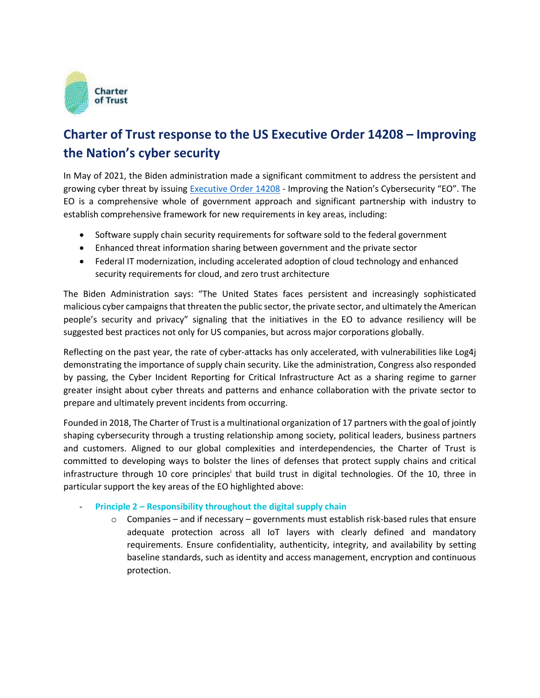

## **Charter of Trust response to the US Executive Order 14208 – Improving the Nation's cyber security**

In May of 2021, the Biden administration made a significant commitment to address the persistent and growing cyber threat by issuing [Executive Order 14208](https://www.whitehouse.gov/briefing-room/presidential-actions/2021/05/12/executive-order-on-improving-the-nations-cybersecurity/) - Improving the Nation's Cybersecurity "EO". The EO is a comprehensive whole of government approach and significant partnership with industry to establish comprehensive framework for new requirements in key areas, including:

- Software supply chain security requirements for software sold to the federal government
- Enhanced threat information sharing between government and the private sector
- Federal IT modernization, including accelerated adoption of cloud technology and enhanced security requirements for cloud, and zero trust architecture

The Biden Administration says: "The United States faces persistent and increasingly sophisticated malicious cyber campaigns that threaten the public sector, the private sector, and ultimately the American people's security and privacy" signaling that the initiatives in the EO to advance resiliency will be suggested best practices not only for US companies, but across major corporations globally.

Reflecting on the past year, the rate of cyber-attacks has only accelerated, with vulnerabilities like Log4j demonstrating the importance of supply chain security. Like the administration, Congress also responded by passing, the Cyber Incident Reporting for Critical Infrastructure Act as a sharing regime to garner greater insight about cyber threats and patterns and enhance collaboration with the private sector to prepare and ultimately prevent incidents from occurring.

Founded in 2018, The Charter of Trust is a multinational organization of 17 partners with the goal of jointly shaping cybersecurity through a trusting relationship among society, political leaders, business partners and customers. Aligned to our global complexities and interdependencies, the Charter of Trust is committed to developing ways to bolster the lines of defenses that protect supply chains and critical infrastructure through 10 core principles<sup>i</sup> that build trust in digital technologies. Of the 10, three in particular support the key areas of the EO highlighted above:

## - **Principle 2 – Responsibility throughout the digital supply chain**

 $\circ$  Companies – and if necessary – governments must establish risk-based rules that ensure adequate protection across all IoT layers with clearly defined and mandatory requirements. Ensure confidentiality, authenticity, integrity, and availability by setting baseline standards, such as identity and access management, encryption and continuous protection.